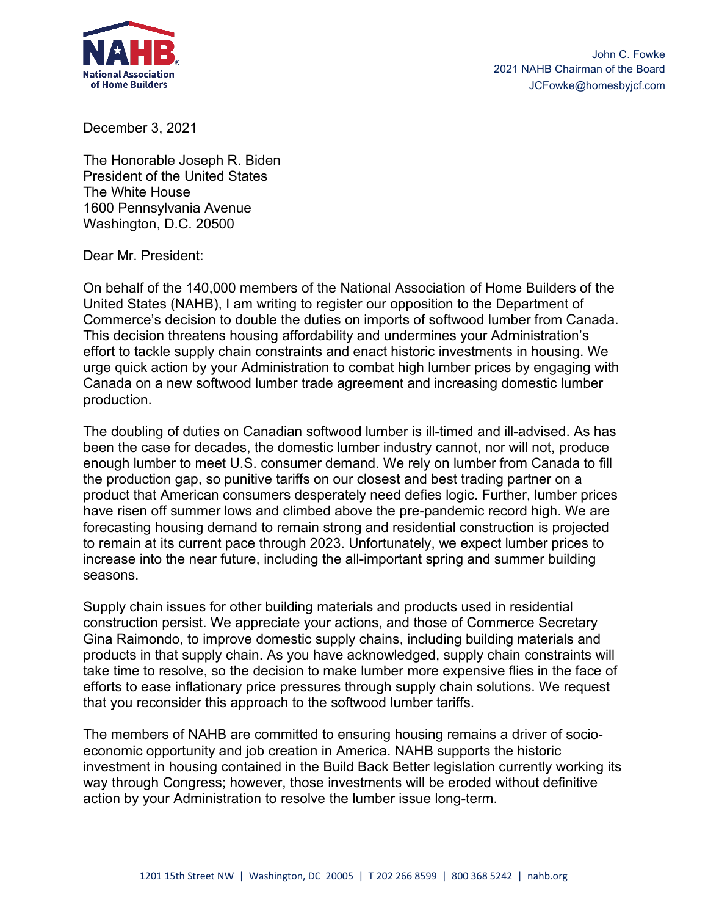

December 3, 2021

The Honorable Joseph R. Biden President of the United States The White House 1600 Pennsylvania Avenue Washington, D.C. 20500

Dear Mr. President:

On behalf of the 140,000 members of the National Association of Home Builders of the United States (NAHB), I am writing to register our opposition to the Department of Commerce's decision to double the duties on imports of softwood lumber from Canada. This decision threatens housing affordability and undermines your Administration's effort to tackle supply chain constraints and enact historic investments in housing. We urge quick action by your Administration to combat high lumber prices by engaging with Canada on a new softwood lumber trade agreement and increasing domestic lumber production.

The doubling of duties on Canadian softwood lumber is ill-timed and ill-advised. As has been the case for decades, the domestic lumber industry cannot, nor will not, produce enough lumber to meet U.S. consumer demand. We rely on lumber from Canada to fill the production gap, so punitive tariffs on our closest and best trading partner on a product that American consumers desperately need defies logic. Further, lumber prices have risen off summer lows and climbed above the pre-pandemic record high. We are forecasting housing demand to remain strong and residential construction is projected to remain at its current pace through 2023. Unfortunately, we expect lumber prices to increase into the near future, including the all-important spring and summer building seasons.

Supply chain issues for other building materials and products used in residential construction persist. We appreciate your actions, and those of Commerce Secretary Gina Raimondo, to improve domestic supply chains, including building materials and products in that supply chain. As you have acknowledged, supply chain constraints will take time to resolve, so the decision to make lumber more expensive flies in the face of efforts to ease inflationary price pressures through supply chain solutions. We request that you reconsider this approach to the softwood lumber tariffs.

The members of NAHB are committed to ensuring housing remains a driver of socioeconomic opportunity and job creation in America. NAHB supports the historic investment in housing contained in the Build Back Better legislation currently working its way through Congress; however, those investments will be eroded without definitive action by your Administration to resolve the lumber issue long-term.